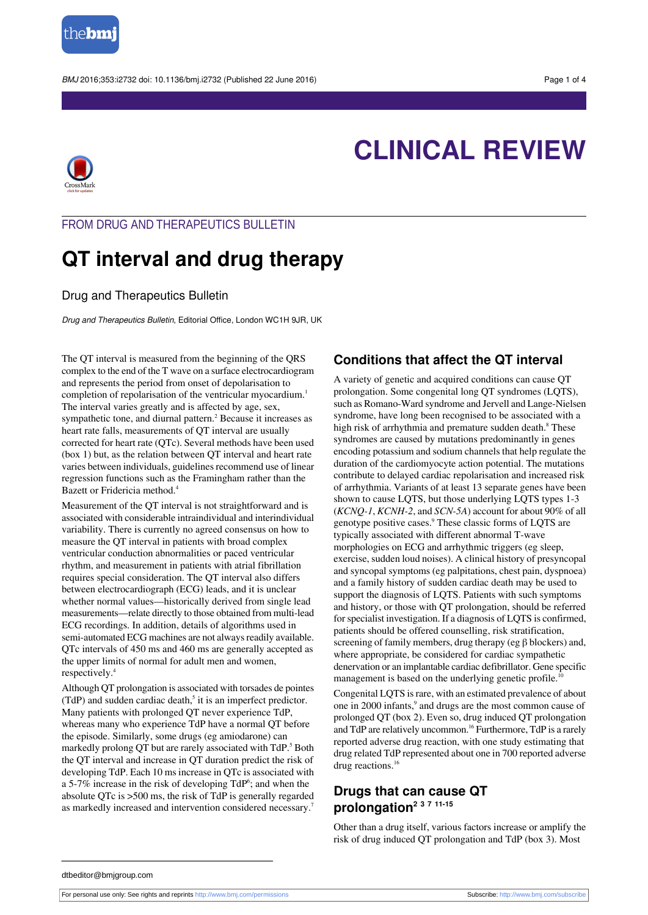

BMJ 2016:353:i2732 doi: 10.1136/bmi.i2732 (Published 22 June 2016) Page 1 of 4



# **CLINICAL REVIEW**

## FROM DRUG AND THERAPEUTICS BULLETIN

## **QT interval and drug therapy**

## Drug and Therapeutics Bulletin

Drug and Therapeutics Bulletin, Editorial Office, London WC1H 9JR, UK

The QT interval is measured from the beginning of the QRS complex to the end of the T wave on a surface electrocardiogram and represents the period from onset of depolarisation to completion of repolarisation of the ventricular myocardium.<sup>1</sup> The interval varies greatly and is affected by age, sex, sympathetic tone, and diurnal pattern.<sup>2</sup> Because it increases as heart rate falls, measurements of QT interval are usually corrected for heart rate (QTc). Several methods have been used (box 1) but, as the relation between QT interval and heart rate varies between individuals, guidelines recommend use of linear regression functions such as the Framingham rather than the Bazett or Fridericia method.<sup>4</sup>

Measurement of the QT interval is not straightforward and is associated with considerable intraindividual and interindividual variability. There is currently no agreed consensus on how to measure the QT interval in patients with broad complex ventricular conduction abnormalities or paced ventricular rhythm, and measurement in patients with atrial fibrillation requires special consideration. The QT interval also differs between electrocardiograph (ECG) leads, and it is unclear whether normal values—historically derived from single lead measurements—relate directly to those obtained from multi-lead ECG recordings. In addition, details of algorithms used in semi-automated ECG machines are not always readily available. QTc intervals of 450 ms and 460 ms are generally accepted as the upper limits of normal for adult men and women, respectively.<sup>4</sup>

Although QT prolongation is associated with torsades de pointes (TdP) and sudden cardiac death,<sup>5</sup> it is an imperfect predictor. Many patients with prolonged QT never experience TdP, whereas many who experience TdP have a normal QT before the episode. Similarly, some drugs (eg amiodarone) can markedly prolong QT but are rarely associated with TdP.<sup>5</sup> Both the QT interval and increase in QT duration predict the risk of developing TdP. Each 10 ms increase in QTc is associated with a 5-7% increase in the risk of developing  $TdP^6$ ; and when the absolute QTc is >500 ms, the risk of TdP is generally regarded as markedly increased and intervention considered necessary.<sup>7</sup>

## **Conditions that affect the QT interval**

A variety of genetic and acquired conditions can cause QT prolongation. Some congenital long QT syndromes (LQTS), such as Romano-Ward syndrome and Jervell and Lange-Nielsen syndrome, have long been recognised to be associated with a high risk of arrhythmia and premature sudden death.<sup>8</sup> These syndromes are caused by mutations predominantly in genes encoding potassium and sodium channels that help regulate the duration of the cardiomyocyte action potential. The mutations contribute to delayed cardiac repolarisation and increased risk of arrhythmia. Variants of at least 13 separate genes have been shown to cause LQTS, but those underlying LQTS types 1-3 (*KCNQ-1*, *KCNH-2*, and *SCN-5A*) account for about 90% of all genotype positive cases.<sup>9</sup> These classic forms of LQTS are typically associated with different abnormal T-wave morphologies on ECG and arrhythmic triggers (eg sleep, exercise, sudden loud noises). A clinical history of presyncopal and syncopal symptoms (eg palpitations, chest pain, dyspnoea) and a family history of sudden cardiac death may be used to support the diagnosis of LQTS. Patients with such symptoms and history, or those with QT prolongation, should be referred for specialist investigation. If a diagnosis of LQTS is confirmed, patients should be offered counselling, risk stratification, screening of family members, drug therapy (eg β blockers) and, where appropriate, be considered for cardiac sympathetic denervation or an implantable cardiac defibrillator. Gene specific management is based on the underlying genetic profile.<sup>10</sup>

Congenital LQTS is rare, with an estimated prevalence of about one in 2000 infants,<sup>9</sup> and drugs are the most common cause of prolonged QT (box 2). Even so, drug induced QT prolongation and TdP are relatively uncommon.<sup>16</sup> Furthermore, TdP is a rarely reported adverse drug reaction, with one study estimating that drug related TdP represented about one in 700 reported adverse drug reactions.<sup>16</sup>

## **Drugs that can cause QT prolongation<sup>2</sup> <sup>3</sup> <sup>7</sup> 11-15**

Other than a drug itself, various factors increase or amplify the risk of drug induced QT prolongation and TdP (box 3). Most

dtbeditor@bmjgroup.com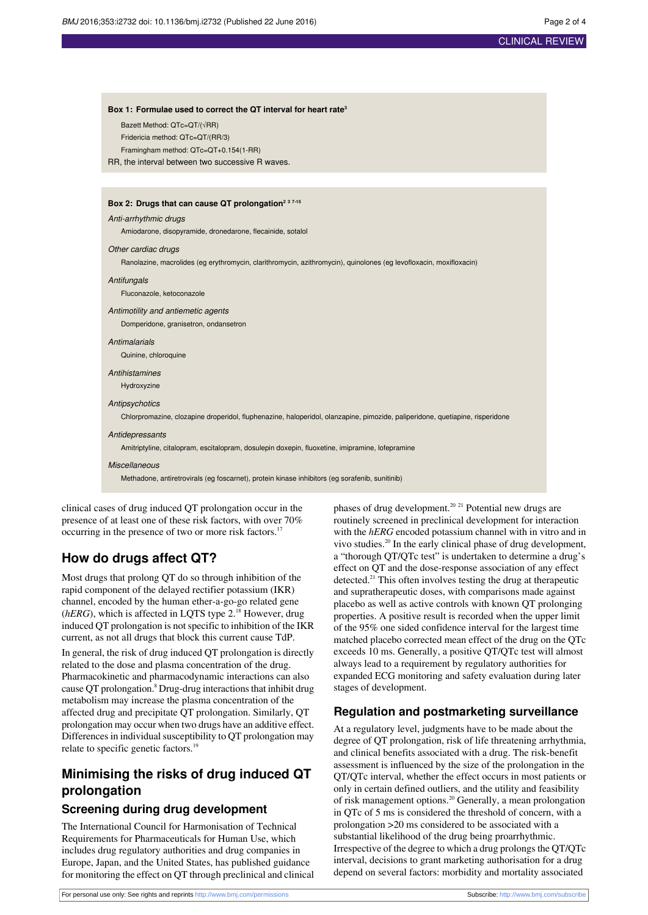Bazett Method: QTc=QT/(√RR) Fridericia method: OTe OT/(DD/3)

**Box 1: Formulae used to correct the QT interval for heart rate<sup>3</sup>**

## CLINICAL REVIEW

| $110510a$ method. Q $0-01111100$<br>Framingham method: QTc=QT+0.154(1-RR)                                                    |
|------------------------------------------------------------------------------------------------------------------------------|
| RR, the interval between two successive R waves.                                                                             |
|                                                                                                                              |
|                                                                                                                              |
| Box 2: Drugs that can cause QT prolongation <sup>2 3 7-15</sup>                                                              |
| Anti-arrhythmic drugs                                                                                                        |
| Amiodarone, disopyramide, dronedarone, flecainide, sotalol                                                                   |
| Other cardiac drugs                                                                                                          |
| Ranolazine, macrolides (eg erythromycin, clarithromycin, azithromycin), quinolones (eg levofloxacin, moxifloxacin)           |
| Antifungals                                                                                                                  |
| Fluconazole, ketoconazole                                                                                                    |
| Antimotility and antiemetic agents                                                                                           |
| Domperidone, granisetron, ondansetron                                                                                        |
| Antimalarials                                                                                                                |
| Quinine, chloroquine                                                                                                         |
| <b>Antihistamines</b>                                                                                                        |
| Hydroxyzine                                                                                                                  |
| Antipsychotics                                                                                                               |
| Chlorpromazine, clozapine droperidol, fluphenazine, haloperidol, olanzapine, pimozide, paliperidone, quetiapine, risperidone |
| Antidepressants                                                                                                              |
| Amitriptyline, citalopram, escitalopram, dosulepin doxepin, fluoxetine, imipramine, lofepramine                              |
| <b>Miscellaneous</b>                                                                                                         |
| Methadone, antiretrovirals (eg foscarnet), protein kinase inhibitors (eg sorafenib, sunitinib)                               |

clinical cases of drug induced QT prolongation occur in the presence of at least one of these risk factors, with over 70% occurring in the presence of two or more risk factors.<sup>17</sup>

## **How do drugs affect QT?**

Most drugs that prolong QT do so through inhibition of the rapid component of the delayed rectifier potassium (IKR) channel, encoded by the human ether-a-go-go related gene (*hERG*), which is affected in LQTS type 2.<sup>18</sup> However, drug induced QT prolongation is not specific to inhibition of the IKR current, as not all drugs that block this current cause TdP. In general, the risk of drug induced QT prolongation is directly related to the dose and plasma concentration of the drug. Pharmacokinetic and pharmacodynamic interactions can also cause QT prolongation.<sup>8</sup> Drug-drug interactions that inhibit drug metabolism may increase the plasma concentration of the affected drug and precipitate QT prolongation. Similarly, QT prolongation may occur when two drugs have an additive effect. Differences in individual susceptibility to QT prolongation may relate to specific genetic factors.<sup>19</sup>

## **Minimising the risks of drug induced QT prolongation**

## **Screening during drug development**

The International Council for Harmonisation of Technical Requirements for Pharmaceuticals for Human Use, which includes drug regulatory authorities and drug companies in Europe, Japan, and the United States, has published guidance for monitoring the effect on QT through preclinical and clinical

phases of drug development.<sup>20</sup> <sup>21</sup> Potential new drugs are routinely screened in preclinical development for interaction with the *hERG* encoded potassium channel with in vitro and in vivo studies.<sup>20</sup> In the early clinical phase of drug development, a "thorough QT/QTc test" is undertaken to determine a drug's effect on QT and the dose-response association of any effect detected.<sup>21</sup> This often involves testing the drug at therapeutic and supratherapeutic doses, with comparisons made against placebo as well as active controls with known QT prolonging properties. A positive result is recorded when the upper limit of the 95% one sided confidence interval for the largest time matched placebo corrected mean effect of the drug on the QTc exceeds 10 ms. Generally, a positive QT/QTc test will almost always lead to a requirement by regulatory authorities for expanded ECG monitoring and safety evaluation during later stages of development.

## **Regulation and postmarketing surveillance**

At a regulatory level, judgments have to be made about the degree of QT prolongation, risk of life threatening arrhythmia, and clinical benefits associated with a drug. The risk-benefit assessment is influenced by the size of the prolongation in the QT/QTc interval, whether the effect occurs in most patients or only in certain defined outliers, and the utility and feasibility of risk management options.<sup>20</sup> Generally, a mean prolongation in QTc of 5 ms is considered the threshold of concern, with a prolongation >20 ms considered to be associated with a substantial likelihood of the drug being proarrhythmic. Irrespective of the degree to which a drug prolongs the QT/QTc interval, decisions to grant marketing authorisation for a drug depend on several factors: morbidity and mortality associated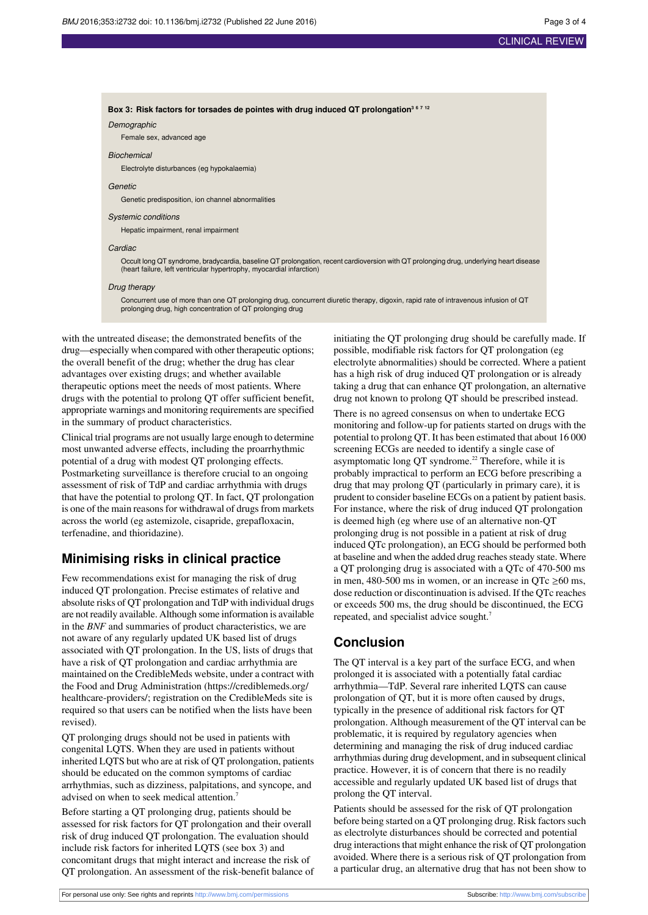#### **Box 3: Risk factors for torsades de pointes with drug induced QT prolongation<sup>3</sup> <sup>6</sup> <sup>7</sup> <sup>12</sup>**

#### Demographic

Female sex, advanced age

#### **Biochemical**

Electrolyte disturbances (eg hypokalaemia)

#### **Genetic**

Genetic predisposition, ion channel abnormalities

#### Systemic conditions

Hepatic impairment, renal impairment

#### **Cardiac**

Occult long QT syndrome, bradycardia, baseline QT prolongation, recent cardioversion with QT prolonging drug, underlying heart disease (heart failure, left ventricular hypertrophy, myocardial infarction)

#### Drug therapy

Concurrent use of more than one QT prolonging drug, concurrent diuretic therapy, digoxin, rapid rate of intravenous infusion of QT prolonging drug, high concentration of QT prolonging drug

with the untreated disease; the demonstrated benefits of the drug—especially when compared with other therapeutic options; the overall benefit of the drug; whether the drug has clear advantages over existing drugs; and whether available therapeutic options meet the needs of most patients. Where drugs with the potential to prolong QT offer sufficient benefit, appropriate warnings and monitoring requirements are specified in the summary of product characteristics.

Clinical trial programs are not usually large enough to determine most unwanted adverse effects, including the proarrhythmic potential of a drug with modest QT prolonging effects. Postmarketing surveillance is therefore crucial to an ongoing assessment of risk of TdP and cardiac arrhythmia with drugs that have the potential to prolong QT. In fact, QT prolongation is one of the main reasons for withdrawal of drugs from markets across the world (eg astemizole, cisapride, grepafloxacin, terfenadine, and thioridazine).

## **Minimising risks in clinical practice**

Few recommendations exist for managing the risk of drug induced QT prolongation. Precise estimates of relative and absolute risks of QT prolongation and TdP with individual drugs are not readily available. Although some information is available in the *BNF* and summaries of product characteristics, we are not aware of any regularly updated UK based list of drugs associated with QT prolongation. In the US, lists of drugs that have a risk of QT prolongation and cardiac arrhythmia are maintained on the CredibleMeds website, under a contract with the Food and Drug Administration (https://crediblemeds.org/ healthcare-providers/; registration on the CredibleMeds site is required so that users can be notified when the lists have been revised).

QT prolonging drugs should not be used in patients with congenital LQTS. When they are used in patients without inherited LQTS but who are at risk of QT prolongation, patients should be educated on the common symptoms of cardiac arrhythmias, such as dizziness, palpitations, and syncope, and advised on when to seek medical attention.<sup>7</sup>

Before starting a QT prolonging drug, patients should be assessed for risk factors for QT prolongation and their overall risk of drug induced QT prolongation. The evaluation should include risk factors for inherited LQTS (see box 3) and concomitant drugs that might interact and increase the risk of QT prolongation. An assessment of the risk-benefit balance of

initiating the QT prolonging drug should be carefully made. If possible, modifiable risk factors for QT prolongation (eg electrolyte abnormalities) should be corrected. Where a patient has a high risk of drug induced QT prolongation or is already taking a drug that can enhance QT prolongation, an alternative drug not known to prolong QT should be prescribed instead.

There is no agreed consensus on when to undertake ECG monitoring and follow-up for patients started on drugs with the potential to prolong QT. It has been estimated that about 16 000 screening ECGs are needed to identify a single case of asymptomatic long QT syndrome.<sup>22</sup> Therefore, while it is probably impractical to perform an ECG before prescribing a drug that may prolong QT (particularly in primary care), it is prudent to consider baseline ECGs on a patient by patient basis. For instance, where the risk of drug induced QT prolongation is deemed high (eg where use of an alternative non-QT prolonging drug is not possible in a patient at risk of drug induced QTc prolongation), an ECG should be performed both at baseline and when the added drug reaches steady state. Where a QT prolonging drug is associated with a QTc of 470-500 ms in men, 480-500 ms in women, or an increase in QTc  $\geq 60$  ms, dose reduction or discontinuation is advised. If the QTc reaches or exceeds 500 ms, the drug should be discontinued, the ECG repeated, and specialist advice sought.<sup>7</sup>

## **Conclusion**

The QT interval is a key part of the surface ECG, and when prolonged it is associated with a potentially fatal cardiac arrhythmia—TdP. Several rare inherited LQTS can cause prolongation of QT, but it is more often caused by drugs, typically in the presence of additional risk factors for QT prolongation. Although measurement of the QT interval can be problematic, it is required by regulatory agencies when determining and managing the risk of drug induced cardiac arrhythmias during drug development, and in subsequent clinical practice. However, it is of concern that there is no readily accessible and regularly updated UK based list of drugs that prolong the QT interval.

Patients should be assessed for the risk of QT prolongation before being started on a QT prolonging drug. Risk factors such as electrolyte disturbances should be corrected and potential drug interactions that might enhance the risk of QT prolongation avoided. Where there is a serious risk of QT prolongation from a particular drug, an alternative drug that has not been show to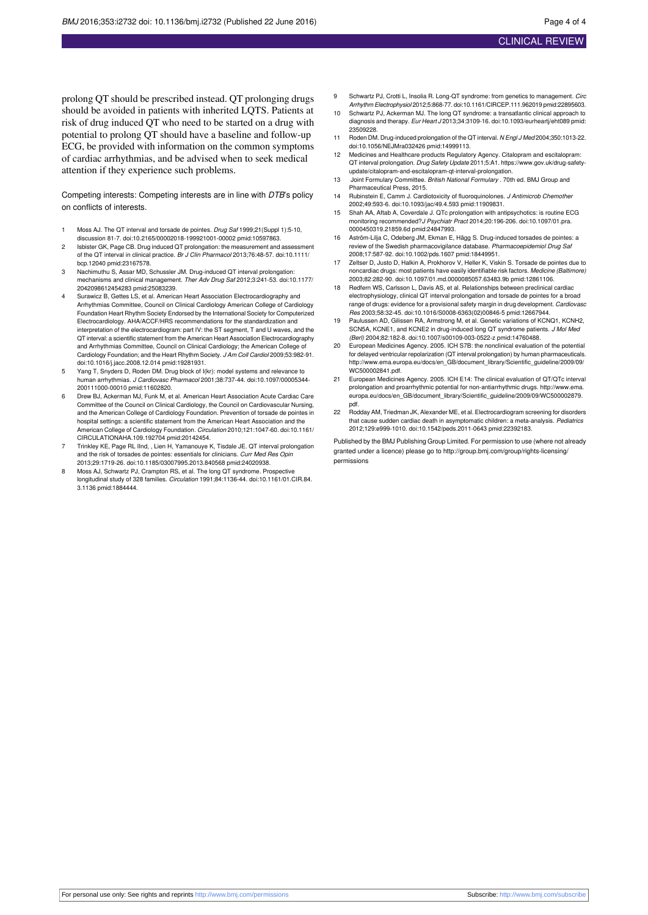prolong QT should be prescribed instead. QT prolonging drugs should be avoided in patients with inherited LQTS. Patients at risk of drug induced QT who need to be started on a drug with potential to prolong QT should have a baseline and follow-up ECG, be provided with information on the common symptoms of cardiac arrhythmias, and be advised when to seek medical attention if they experience such problems.

Competing interests: Competing interests are in line with DTB's policy on conflicts of interests.

- 1 Moss AJ. The QT interval and torsade de pointes. Drug Saf 1999:21 (Suppl 1):5-10, discussion 81-7. [doi:10.2165/00002018-199921001-00002](http://dx.doi.org/doi:10.2165/00002018-199921001-00002) [pmid:10597863.](http://www.ncbi.nlm.nih.gov/pubmed/?term=10597863)
- Isbister GK, Page CB. Drug induced QT prolongation: the measurement and assessment and assessment and assessment and assessment and assessment and assessment and assessment and assessment and assessment and assessment and of the QT interval in clinical practice. Br J Clin Pharmacol 2013;76:48-57. [doi:10.1111/](http://dx.doi.org/doi:10.1111/bcp.12040) [bcp.12040](http://dx.doi.org/doi:10.1111/bcp.12040) [pmid:23167578.](http://www.ncbi.nlm.nih.gov/pubmed/?term=23167578)
- Nachimuthu S, Assar MD, Schussler JM. Drug-induced QT interval prolongation mechanisms and clinical management. Ther Adv Drug Saf 2012;3:241-53. [doi:10.1177/](http://dx.doi.org/doi:10.1177/2042098612454283) [2042098612454283](http://dx.doi.org/doi:10.1177/2042098612454283) [pmid:25083239](http://www.ncbi.nlm.nih.gov/pubmed/?term=25083239).
- 4 Surawicz B, Gettes LS, et al. American Heart Association Electrocardiography and Arrhythmias Committee, Council on Clinical Cardiology American College of Cardiology Foundation Heart Rhythm Society Endorsed by the International Society for Computerized Electrocardiology. AHA/ACCF/HRS recommendations for the standardization and interpretation of the electrocardiogram: part IV: the ST segment, T and U waves, and the QT interval: a scientific statement from the American Heart Association Electrocardiography and Arrhythmias Committee, Council on Clinical Cardiology; the American College of Cardiology Foundation; and the Heart Rhythm Society. J Am Coll Cardiol 2009;53:982-91. [doi:10.1016/j.jacc.2008.12.014](http://dx.doi.org/doi:10.1016/j.jacc.2008.12.014) [pmid:19281931.](http://www.ncbi.nlm.nih.gov/pubmed/?term=19281931)
- Yang T, Snyders D, Roden DM. Drug block of I(kr): model systems and relevance to human arrhythmias. J Cardiovasc Pharmacol 2001;38:737-44. [doi:10.1097/00005344-](http://dx.doi.org/doi:10.1097/00005344-200111000-00010) [200111000-00010](http://dx.doi.org/doi:10.1097/00005344-200111000-00010) [pmid:11602820.](http://www.ncbi.nlm.nih.gov/pubmed/?term=11602820)
- 6 Drew BJ, Ackerman MJ, Funk M, et al. American Heart Association Acute Cardiac Care Committee of the Council on Clinical Cardiology, the Council on Cardiovascular Nursing, and the American College of Cardiology Foundation. Prevention of torsade de pointes in hospital settings: a scientific statement from the American Heart Association and the American College of Cardiology Foundation. Circulation 2010;121:1047-60. [doi:10.1161/](http://dx.doi.org/doi:10.1161/CIRCULATIONAHA.109.192704) [CIRCULATIONAHA.109.192704](http://dx.doi.org/doi:10.1161/CIRCULATIONAHA.109.192704) [pmid:20142454](http://www.ncbi.nlm.nih.gov/pubmed/?term=20142454).
- 7 Trinkley KE, Page RL IInd, , Lien H, Yamanouye K, Tisdale JE. QT interval prolongation and the risk of torsades de pointes: essentials for clinicians. Curr Med Res Opin 2013;29:1719-26. [doi:10.1185/03007995.2013.840568](http://dx.doi.org/doi:10.1185/03007995.2013.840568) [pmid:24020938](http://www.ncbi.nlm.nih.gov/pubmed/?term=24020938).
- Moss AJ, Schwartz PJ, Crampton RS, et al. The long QT syndrome. Prospective longitudinal study of 328 families. Circulation 1991;84:1136-44. [doi:10.1161/01.CIR.84.](http://dx.doi.org/doi:10.1161/01.CIR.84.3.1136) [3.1136](http://dx.doi.org/doi:10.1161/01.CIR.84.3.1136) [pmid:1884444](http://www.ncbi.nlm.nih.gov/pubmed/?term=1884444).
- 9 Schwartz PJ, Crotti L, Insolia R. Long-QT syndrome: from genetics to management. Circ Arrhythm Electrophysiol 2012;5:868-77. [doi:10.1161/CIRCEP.111.962019](http://dx.doi.org/doi:10.1161/CIRCEP.111.962019) [pmid:22895603](http://www.ncbi.nlm.nih.gov/pubmed/?term=22895603).
- 10 Schwartz PJ, Ackerman MJ. The long QT syndrome: a transatlantic clinical approach to diagnosis and therapy. Eur Heart J 2013;34:3109-16. [doi:10.1093/eurheartj/eht089](http://dx.doi.org/doi:10.1093/eurheartj/eht089) [pmid:](http://www.ncbi.nlm.nih.gov/pubmed/?term=23509228) [23509228.](http://www.ncbi.nlm.nih.gov/pubmed/?term=23509228)
- 11 Roden DM. Drug-induced prolongation of the QT interval. N Engl J Med 2004;350:1013-22. [doi:10.1056/NEJMra032426](http://dx.doi.org/doi:10.1056/NEJMra032426) [pmid:14999113](http://www.ncbi.nlm.nih.gov/pubmed/?term=14999113).
- 12 Medicines and Healthcare products Regulatory Agency. Citalopram and escitalopram: QT interval prolongation. Drug Safety Update 2011;5:A1. https://www.gov.uk/drug-safetyupdate/citalopram-and-escitalopram-qt-interval-prolongation.
- Joint Formulary Committee. British National Formulary . 70th ed. BMJ Group and Pharmaceutical Press, 2015.
- 14 Rubinstein E, Camm J. Cardiotoxicity of fluoroquinolones. J Antimicrob Chemother 2002;49:593-6. [doi:10.1093/jac/49.4.593](http://dx.doi.org/doi:10.1093/jac/49.4.593) [pmid:11909831](http://www.ncbi.nlm.nih.gov/pubmed/?term=11909831).
- 15 Shah AA, Aftab A, Coverdale J. QTc prolongation with antipsychotics: is routine ECG monitoring recommended?J Psychiatr Pract 2014;20:196-206. [doi:10.1097/01.pra.](http://dx.doi.org/doi:10.1097/01.pra.0000450319.21859.6d) [0000450319.21859.6d](http://dx.doi.org/doi:10.1097/01.pra.0000450319.21859.6d) [pmid:24847993](http://www.ncbi.nlm.nih.gov/pubmed/?term=24847993).
- 16 Aström-Lilja C, Odeberg JM, Ekman E, Hägg S. Drug-induced torsades de pointes: a review of the Swedish pharmacovigilance database. Pharmacoepidemiol Drug Saf 2008;17:587-92. [doi:10.1002/pds.1607](http://dx.doi.org/doi:10.1002/pds.1607) [pmid:18449951.](http://www.ncbi.nlm.nih.gov/pubmed/?term=18449951)
- 17 Zeltser D, Justo D, Halkin A, Prokhorov V, Heller K, Viskin S. Torsade de pointes due to noncardiac drugs: most patients have easily identifiable risk factors. Medicine (Baltimore) 2003;82:282-90. [doi:10.1097/01.md.0000085057.63483.9b](http://dx.doi.org/doi:10.1097/01.md.0000085057.63483.9b) [pmid:12861106](http://www.ncbi.nlm.nih.gov/pubmed/?term=12861106).
- 18 Redfern WS, Carlsson L, Davis AS, et al. Relationships between preclinical cardiac electrophysiology, clinical QT interval prolongation and torsade de pointes for a broad range of drugs: evidence for a provisional safety margin in drug development. Cardiovasc Res 2003;58:32-45. [doi:10.1016/S0008-6363\(02\)00846-5](http://dx.doi.org/doi:10.1016/S0008-6363(02)00846-5) [pmid:12667944](http://www.ncbi.nlm.nih.gov/pubmed/?term=12667944).
- 19 Paulussen AD, Gilissen RA, Armstrong M, et al. Genetic variations of KCNQ1, KCNH2, SCN5A, KCNE1, and KCNE2 in drug-induced long QT syndrome patients. J Mol Med (Berl) 2004;82:182-8. [doi:10.1007/s00109-003-0522-z](http://dx.doi.org/doi:10.1007/s00109-003-0522-z) [pmid:14760488.](http://www.ncbi.nlm.nih.gov/pubmed/?term=14760488)
- 20 European Medicines Agency. 2005. ICH S7B: the nonclinical evaluation of the potential for delayed ventricular repolarization (QT interval prolongation) by human pharmaceuticals. [http://www.ema.europa.eu/docs/en\\_GB/document\\_library/Scientific\\_guideline/2009/09/](http://www.ema.europa.eu/docs/en_GB/document_library/Scientific_guideline/2009/09/WC500002841.pdf) [WC500002841.pdf.](http://www.ema.europa.eu/docs/en_GB/document_library/Scientific_guideline/2009/09/WC500002841.pdf)
- 21 European Medicines Agency. 2005. ICH E14: The clinical evaluation of QT/QTc interval prolongation and proarrhythmic potential for non-antiarrhythmic drugs. [http://www.ema.](http://www.ema.europa.eu/docs/en_GB/document_library/Scientific_guideline/2009/09/WC500002879.pdf) [europa.eu/docs/en\\_GB/document\\_library/Scientific\\_guideline/2009/09/WC500002879.](http://www.ema.europa.eu/docs/en_GB/document_library/Scientific_guideline/2009/09/WC500002879.pdf) [pdf.](http://www.ema.europa.eu/docs/en_GB/document_library/Scientific_guideline/2009/09/WC500002879.pdf)
- 22 Rodday AM, Triedman JK, Alexander ME, et al. Electrocardiogram screening for disorders that cause sudden cardiac death in asymptomatic children: a meta-analysis. Pediatrics 2012;129:e999-1010. [doi:10.1542/peds.2011-0643](http://dx.doi.org/doi:10.1542/peds.2011-0643) [pmid:22392183.](http://www.ncbi.nlm.nih.gov/pubmed/?term=22392183)

Published by the BMJ Publishing Group Limited. For permission to use (where not already granted under a licence) please go to [http://group.bmj.com/group/rights-licensing/](http://group.bmj.com/group/rights-licensing/permissions) [permissions](http://group.bmj.com/group/rights-licensing/permissions)